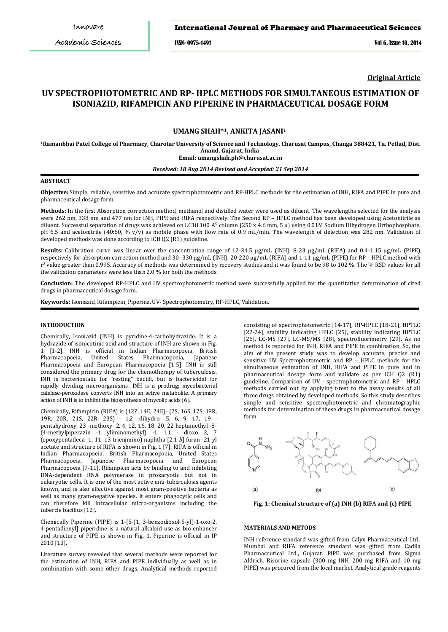ISSN- 0975-1491 Vol 6, Issue 10, 2014

**Original Article**

# **UV SPECTROPHOTOMETRIC AND RP- HPLC METHODS FOR SIMULTANEOUS ESTIMATION OF ISONIAZID, RIFAMPICIN AND PIPERINE IN PHARMACEUTICAL DOSAGE FORM**

# **UMANG SHAH\*1, ANKITA JASANI<sup>1</sup>**

**1 Ramanbhai Patel College of Pharmacy, Charotar University of Science and Technology, Charusat Campus, Changa 388421, Ta. Petlad, Dist. Anand, Gujarat, India Email: umangshah.ph@charusat.ac.in**

# *Received: 18 Aug 2014 Revised and Accepted: 21 Sep 2014*

#### **ABSTRACT**

**Objective:** Simple, reliable, sensitive and accurate spectrophotometric and RP-HPLC methods for the estimation of INH, RIFA and PIPE in pure and pharmaceutical dosage form.

**Methods:** In the first Absorption correction method, methanol and distilled water were used as diluent. The wavelengths selected for the analysis were 262 nm, 338 nm and 477 nm for INH, PIPE and RIFA respectively. The Second RP – HPLC method has been developed using Acetonitrile as diluent. Successful separation of drugs was achieved on LC18 100 A⁰ column (250 x 4.6 mm, 5 μ) using 0.01M Sodium Dihydrogen Orthophosphate, pH 6.5 and acetonitrile (40:60, % v/v) as mobile phase with flow rate of 0.9 mL/min. The wavelength of detection was 282 nm. Validation of developed methods was done according to ICH Q2 (R1) guideline.

**Results:** Calibration curve was linear over the concentration range of 12-34.5 μg/mL (INH), 8-23 μg/mL (RIFA) and 0.4-1.15 μg/mL (PIPE) respectively for absorption correction method and 30- 330 μg/mL (INH), 20-220 μg/mL (RIFA) and 1-11 μg/mL (PIPE) for RP – HPLC method with r2 value greater than 0.995. Accuracy of methods was determined by recovery studies and it was found to be 98 to 102 %. The % RSD values for all the validation parameters were less than 2.0 % for both the methods.

**Conclusion:** The developed RP-HPLC and UV spectrophotometric method were successfully applied for the quantitative determination of cited drugs in pharmaceutical dosage form.

**Keywords:** Isoniazid, Rifampicin, Piperine, UV- Spectrophotometry, RP-HPLC, Validation.

### **INTRODUCTION**

Chemically, Isoniazid (INH) is pyridine-4-carbohydrazide. It is a hydrazide of isonicotinic acid and structure of INH are shown in Fig. 1 [1-2]. INH is official in Indian Pharmacopoeia, British Pharmacopoeia, United States Pharmacopoeia, Japanese Pharmacopoeia and European Pharmacopoeia [1-5]. INH is still considered the primary drug for the chemotherapy of tuberculosis. INH is bacteriostatic for "resting" bacilli, but is bactericidal for rapidly dividing microorganisms. INH is a prodrug; mycobacterial catalase-peroxidase converts INH into an active metabolite. A primary action of INH is to inhibit the biosynthesis of mycolic acids [6].

Chemically, Rifampicin (RIFA) is (12Z, 14E, 24E)- (2S, 16S, 17S, 18R, 19R, 20R, 21S, 22R, 23S) - 1,2 -dihydro- 5, 6, 9, 17, 19 pentahydroxy, 23 -methoxy- 2, 4, 12, 16, 18, 20, 22 heptamethyl -8- (4-methylpiperazin -1 yliminomethyl) -1, 11 - dioxo 2, 7 (epoxypentadeca -1, 11, 13 trienimino) naphtha [2,1-*b*] furan -21-yl acetate and structure of RIFA is shown in Fig. 1 [7]. RIFA is official in Indian Pharmacopoeia, British Pharmacopoeia, United States Japanese Pharmacopoeia and Pharmacopoeia [7-11]. Rifampicin acts by binding to and inhibiting DNA-dependent RNA polymerase in prokaryotic but not in eukaryotic cells. It is one of the most active anti-tuberculosis agents known, and is also effective against most gram-positive bacteria as well as many gram-negative species. It enters phagocytic cells and can therefore kill intracellular micro-organisms including the tubercle bacillus [12].

Chemically Piperine (PIPE) is 1-[5-(1, 3-benzodioxol-5-yl)-1-oxo-2, 4-pentadienyl] piperidine is a natural alkaloid use as bio enhancer and structure of PIPE is shown in Fig. 1. Piperine is official in IP 2010 [13].

Literature survey revealed that several methods were reported for the estimation of INH, RIFA and PIPE individually as well as in combination with some other drugs. Analytical methods reported

consisting of spectrophotometric [14-17], RP-HPLC [18-21], HPTLC [22-24], stability indicating HPLC [25], stability indicating HPTLC [26], LC-MS [27], LC-MS/MS [28], spectrofluorimetry [29]. As no method is reported for INH, RIFA and PIPE in combination. So, the aim of the present study was to develop accurate, precise and sensitive UV Spectrophotometric and RP – HPLC methods for the simultaneous estimation of INH, RIFA and PIPE in pure and in pharmaceutical dosage form and validate as per ICH Q2 (R1) guideline. Comparison of UV - spectrophotometric and RP - HPLC methods carried out by applying t-test to the assay results of all three drugs obtained by developed methods. So this study describes simple and sensitive spectrophotometric and chromatographic methods for determination of these drugs in pharmaceutical dosage form.



**Fig. 1: Chemical structure of (a) INH (b) RIFA and (c) PIPE**

#### **MATERIALS AND METODS**

INH reference standard was gifted from Calyx Pharmaceutical Ltd., Mumbai and RIFA reference standard was gifted from Cadila Pharmaceutical Ltd., Gujarat. PIPE was purchased from Sigma Aldrich. Risorine capsule (300 mg INH, 200 mg RIFA and 10 mg PIPE) was procured from the local market. Analytical grade reagents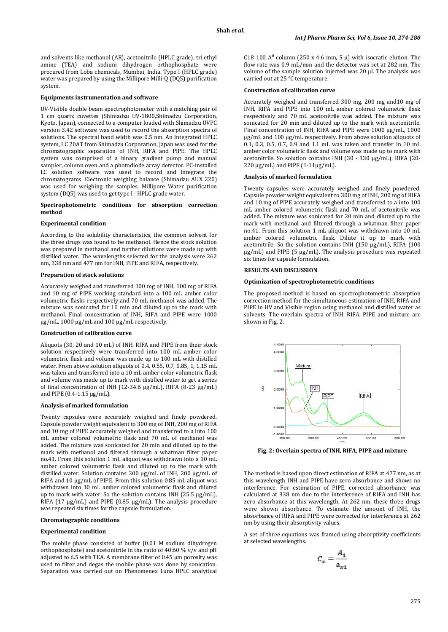and solvents like methanol (AR), acetonitrile (HPLC grade), tri ethyl amine (TEA) and sodium dihydrogen orthophosphate were procured from Loba chemicals, Mumbai, India. Type I (HPLC grade) water was prepared by using the Millipore Milli-Q (DQ5) purification system.

#### **Equipments instrumentation and software**

UV-Visible double beam spectrophotometer with a matching pair of 1 cm quartz cuvettes (Shimadzu UV-1800,Shimadzu Corporation, Kyoto, Japan), connected to a computer loaded with Shimadzu UVPC version 3.42 software was used to record the absorption spectra of solutions. The spectral band width was 0.5 nm. An integrated HPLC system, LC 20AT from Shimadzu Corporation, Japan was used for the chromatographic separation of INH, RIFA and PIPE. The HPLC system was comprised of a binary gradient pump and manual sampler, column oven and a photodiode array detector. PC-installed LC solution software was used to record and integrate the chromatograms. Electronic weighing balance (Shimadzu AUX 220) was used for weighing the samples. Millipore Water purification system (DQ5) was used to get type I - HPLC grade water.

#### **Spectrophotometric conditions for absorption correction method**

#### **Experimental condition**

According to the solubility characteristics, the common solvent for the three drugs was found to be methanol. Hence the stock solution was prepared in methanol and further dilutions were made up with distilled water. The wavelengths selected for the analysis were 262 nm, 338 nm and 477 nm for INH, PIPE and RIFA, respectively.

#### **Preparation of stock solutions**

Accurately weighed and transferred 100 mg of INH, 100 mg of RIFA and 10 mg of PIPE working standard into a 100 mL amber color volumetric flasks respectively and 70 mL methanol was added. The mixture was sonicated for 10 min and diluted up to the mark with methanol. Final concentration of INH, RIFA and PIPE were 1000 µg/mL, 1000 µg/mL and 100 µg/mL respectively.

### **Construction of calibration curve**

Aliquots (30, 20 and 10 mL) of INH. RIFA and PIPE from their stock solution respectively were transferred into 100 mL amber color volumetric flask and volume was made up to 100 mL with distilled water. From above solution aliquots of 0.4, 0.55, 0.7, 0.85, 1, 1.15 mL was taken and transferred into a 10 mL amber color volumetric flask and volume was made up to mark with distilled water to get a series of final concentration of INH (12-34.6 µg/mL), RIFA (8-23 µg/mL) and PIPE (0.4-1.15 µg/mL).

#### **Analysis of marked formulation**

Twenty capsules were accurately weighed and finely powdered. Capsule powder weight equivalent to 300 mg of INH, 200 mg of RIFA and 10 mg of PIPE accurately weighed and transferred to a into 100 mL amber colored volumetric flask and 70 mL of methanol was added. The mixture was sonicated for 20 min and diluted up to the mark with methanol and filtered through a whatman filter paper no.41. From this solution 1 mL aliquot was withdrawn into a 10 mL amber colored volumetric flask and diluted up to the mark with distilled water. Solution contains 300 µg/mL of INH, 200 µg/mL of RIFA and 10 µg/mL of PIPE. From this solution 0.85 mL aliquot was withdrawn into 10 mL amber colored volumetric flask and diluted up to mark with water. So the solution contains INH (25.5 μg/mL), RIFA (17 μg/mL) and PIPE (0.85 μg/mL). The analysis procedure was repeated six times for the capsule formulation.

#### **Chromatographic conditions**

#### **Experimental condition**

The mobile phase consisted of buffer (0.01 M sodium dihydrogen orthophosphate) and acetonitrile in the ratio of 40:60 % v/v and pH adjusted to 6.5 with TEA. A membrane filter of 0.45 µm porosity was used to filter and degas the mobile phase was done by sonication. Separation was carried out on Phenomenex Luna HPLC analytical C18 100  $A^0$  column (250 x 4.6 mm, 5  $\mu$ ) with isocratic elution. The flow rate was 0.9 mL/min and the detector was set at 282 nm. The volume of the sample solution injected was 20 µl. The analysis was carried out at 25 °C temperature.

#### **Construction of calibration curve**

Accurately weighed and transferred 300 mg, 200 mg and10 mg of INH, RIFA and PIPE into 100 mL amber colored volumetric flask respectively and 70 mL acetonitrile was added. The mixture was sonicated for 20 min and diluted up to the mark with acetonitrile. Final concentration of INH, RIFA and PIPE were 1000 µg/mL, 1000 µg/mL and 100 µg/mL respectively. From above solution aliquots of 0.1, 0.3, 0.5, 0.7, 0.9 and 1.1 mL was taken and transfer in 10 mL amber color volumetric flask and volume was made up to mark with acetonitrile. So solution contains INH (30 - 330 μg/mL), RIFA (20- 220 μg/mL) and PIPE (1-11μg/mL).

#### **Analysis of marked formulation**

Twenty capsules were accurately weighed and finely powdered. Capsule powder weight equivalent to 300 mg of INH, 200 mg of RIFA and 10 mg of PIPE accurately weighed and transferred to a into 100 mL amber colored volumetric flask and 70 mL of acetonitrile was added. The mixture was sonicated for 20 min and diluted up to the mark with methanol and filtered through a whatman filter paper no.41. From this solution 1 mL aliquot was withdrawn into 10 mL amber colored volumetric flask. Dilute it up to mark with acetonitrile. So the solution contains INH (150 μg/mL), RIFA (100 μg/mL) and PIPE (5 μg/mL). The analysis procedure was repeated six times for capsule formulation.

#### **RESULTS AND DISCUSSION**

#### **Optimization of spectrophotometric conditions**

The proposed method is based on spectrophotometric absorption correction method for the simultaneous estimation of INH, RIFA and PIPE in UV and Visible region using methanol and distilled water as solvents. The overlain spectra of INH, RIFA, PIPE and mixture are shown in Fig. 2.



**Fig. 2: Overlain spectra of INH, RIFA, PIPE and mixture**

The method is based upon direct estimation of RIFA at 477 nm, as at this wavelength INH and PIPE have zero absorbance and shows no interference. For estimation of PIPE, corrected absorbance was calculated at 338 nm due to the interference of RIFA and INH has zero absorbance at this wavelength. At 262 nm, these three drugs were shown absorbance. To estimate the amount of INH, the absorbance of RIFA and PIPE were corrected for interference at 262 nm by using their absorptivity values.

A set of three equations was framed using absorptivity coefficients at selected wavelengths.

$$
C_x = \frac{A_1}{a_{x1}}
$$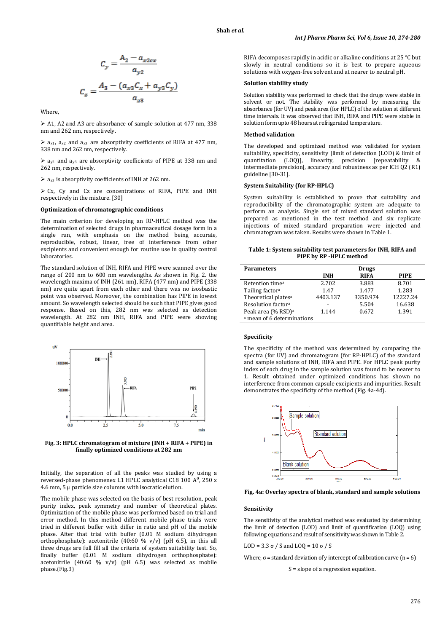$$
C_y = \frac{A_2 - a_{x2ox}}{a_{y2}}
$$

$$
C_z = \frac{A_3 - (a_{x3}C_x + a_{y3}C_y)}{a_{z3}}
$$

Where,

 A1, A2 and A3 are absorbance of sample solution at 477 nm, 338 nm and 262 nm, respectively.

 $\triangleright$  a<sub>x1</sub>, a<sub>x2</sub> and a<sub>x3</sub> are absorptivity coefficients of RIFA at 477 nm, 338 nm and 262 nm, respectively.

 $\triangleright$  a<sub>y2</sub> and a<sub>y3</sub> are absorptivity coefficients of PIPE at 338 nm and 262 nm, respectively.

 $\ge$  a<sub>z3</sub> is absorptivity coefficients of INH at 262 nm.

 Cx, Cy and Cz are concentrations of RIFA, PIPE and INH respectively in the mixture. [30]

#### **Optimization of chromatographic conditions**

The main criterion for developing an RP-HPLC method was the determination of selected drugs in pharmaceutical dosage form in a single run, with emphasis on the method being accurate, reproducible, robust, linear, free of interference from other excipients and convenient enough for routine use in quality control laboratories.

The standard solution of INH, RIFA and PIPE were scanned over the range of 200 nm to 600 nm wavelengths. As shown in Fig. 2. the wavelength maxima of INH (261 nm), RIFA (477 nm) and PIPE (338 nm) are quite apart from each other and there was no isosbastic point was observed. Moreover, the combination has PIPE in lowest amount. So wavelength selected should be such that PIPE gives good response. Based on this, 282 nm was selected as detection wavelength. At 282 nm INH, RIFA and PIPE were showing quantifiable height and area.





Initially, the separation of all the peaks was studied by using a reversed-phase phenomenex L1 HPLC analytical C18 100 A<sup>0</sup>, 250 x 4.6 mm, 5 μ particle size columns with isocratic elution.

The mobile phase was selected on the basis of best resolution, peak purity index, peak symmetry and number of theoretical plates. Optimization of the mobile phase was performed based on trial and error method. In this method different mobile phase trials were tried in different buffer with differ in ratio and pH of the mobile phase. After that trial with buffer (0.01 M sodium dihydrogen orthophosphate): acetonitrile (40:60 % v/v) (pH 6.5), in this all three drugs are full fill all the criteria of system suitability test. So, finally buffer (0.01 M sodium dihydrogen orthophosphate): acetonitrile (40:60 % v/v) (pH 6.5) was selected as mobile phase.(Fig.3)

RIFA decomposes rapidly in acidic or alkaline conditions at 25 °C but slowly in neutral conditions so it is best to prepare aqueous solutions with oxygen-free solvent and at nearer to neutral pH.

# **Solution stability study**

Solution stability was performed to check that the drugs were stable in solvent or not. The stability was performed by measuring the absorbance (for UV) and peak area (for HPLC) of the solution at different time intervals. It was observed that INH, RIFA and PIPE were stable in solution form upto 48 hours at refrigerated temperature.

# **Method validation**

The developed and optimized method was validated for system suitability, specificity, sensitivity [limit of detection (LOD) & limit of quantitation (LOQ)], linearity, precision [repeatability & intermediate precision], accuracy and robustness as per ICH Q2 (R1) guideline [30-31].

# **System Suitability (for RP-HPLC)**

System suitability is established to prove that suitability and reproducibility of the chromatographic system are adequate to perform an analysis. Single set of mixed standard solution was prepared as mentioned in the test method and six replicate injections of mixed standard preparation were injected and chromatogram was taken. Results were shown in Table 1.

# **Table 1: System suitability test parameters for INH, RIFA and PIPE by RP -HPLC method**

| <b>Parameters</b>                     | <b>Drugs</b> |             |             |  |  |  |  |  |
|---------------------------------------|--------------|-------------|-------------|--|--|--|--|--|
|                                       | <b>INH</b>   | <b>RIFA</b> | <b>PIPE</b> |  |  |  |  |  |
| Retention time <sup>a</sup>           | 2.702        | 3.883       | 8.701       |  |  |  |  |  |
| Tailing factor <sup>a</sup>           | 1.47         | 1.477       | 1.283       |  |  |  |  |  |
| Theoretical plates <sup>a</sup>       | 4403.137     | 3350.974    | 12227.24    |  |  |  |  |  |
| Resolution factor <sup>a</sup>        | -            | 5.504       | 16.638      |  |  |  |  |  |
| Peak area (% RSD) <sup>a</sup>        | 1.144        | 0.672       | 1.391       |  |  |  |  |  |
| <sup>a</sup> mean of 6 determinations |              |             |             |  |  |  |  |  |

#### **Specificity**

The specificity of the method was determined by comparing the spectra (for UV) and chromatogram (for RP-HPLC) of the standard and sample solutions of INH, RIFA and PIPE. For HPLC peak purity index of each drug in the sample solution was found to be nearer to 1. Result obtained under optimized conditions has shown no interference from common capsule excipients and impurities. Result demonstrates the specificity of the method (Fig. 4a-4d).



**Fig. 4a: Overlay spectra of blank, standard and sample solutions**

# **Sensitivity**

The sensitivity of the analytical method was evaluated by determining the limit of detection (LOD) and limit of quantification (LOQ) using following equations and result of sensitivity was shown in Table 2.

LOD = 3.3  $\sigma$  / S and LOQ = 10  $\sigma$  / S

Where,  $\sigma$  = standard deviation of y intercept of calibration curve (n = 6)

S = slope of a regression equation.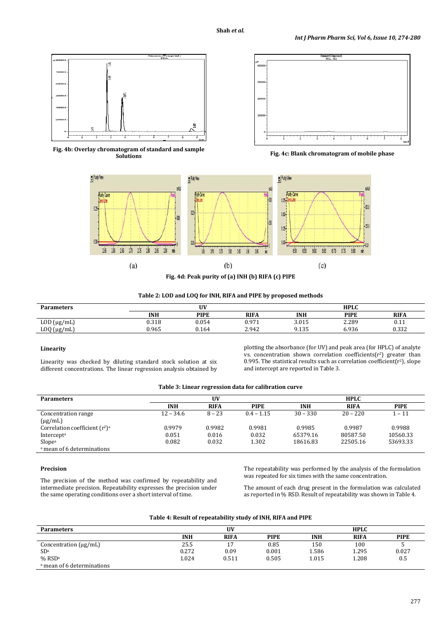



**Fig. 4b: Overlay chromatogram of standard and sample** 

Fig. 4c: Blank chromatogram of mobile phase



**Table 2: LOD and LOQ for INH, RIFA and PIPE by proposed methods**

| <b>Parameters</b>    | UV         |             |             | <b>HPLC</b> |             |             |  |
|----------------------|------------|-------------|-------------|-------------|-------------|-------------|--|
|                      | <b>INH</b> | <b>PIPE</b> | <b>RIFA</b> | <b>INH</b>  | <b>PIPE</b> | <b>RIFA</b> |  |
| LOD (µg/mL)          | 0.318      | 0.054       | 0.971       | 3.015       | 2.289       | 0.II        |  |
| $L OQ$ ( $\mu$ g/mL) | 0.965      | 0.164       | 2.942       | 9.135       | 6.936       | 0.332       |  |

# **Linearity**

Linearity was checked by diluting standard stock solution at six different concentrations. The linear regression analysis obtained by

plotting the absorbance (for UV) and peak area (for HPLC) of analyte vs. concentration shown correlation coefficients(r<sup>2</sup>) greater than 0.995. The statistical results such as correlation coefficient( $r^2$ ), slope and intercept are reported in Table 3.

| Table 3: Linear regression data for calibration curve |
|-------------------------------------------------------|
|-------------------------------------------------------|

| <b>Parameters</b>                     | UV          |             |              | <b>HPLC</b> |             |             |  |
|---------------------------------------|-------------|-------------|--------------|-------------|-------------|-------------|--|
|                                       | <b>INH</b>  | <b>RIFA</b> | <b>PIPE</b>  | <b>INH</b>  | <b>RIFA</b> | <b>PIPE</b> |  |
| Concentration range                   | $12 - 34.6$ | $8 - 23$    | $0.4 - 1.15$ | $30 - 330$  | $20 - 220$  | $1 - 11$    |  |
| $(\mu g/mL)$                          |             |             |              |             |             |             |  |
| Correlation coefficient $(r^2)^a$     | 0.9979      | 0.9982      | 0.9981       | 0.9985      | 0.9987      | 0.9988      |  |
| Intercept <sup>a</sup>                | 0.051       | 0.016       | 0.032        | 65379.16    | 80587.50    | 10560.33    |  |
| Slope <sup>a</sup>                    | 0.082       | 0.032       | 1.302        | 18616.83    | 22505.16    | 53693.33    |  |
| <sup>a</sup> mean of 6 determinations |             |             |              |             |             |             |  |

# **Precision**

The precision of the method was confirmed by repeatability and intermediate precision. Repeatability expresses the precision under the same operating conditions over a short interval of time.

The repeatability was performed by the analysis of the formulation was repeated for six times with the same concentration.

The amount of each drug present in the formulation was calculated as reported in % RSD. Result of repeatability was shown in Table 4.

| <b>Parameters</b>                     |            | UV          |             |            | <b>HPLC</b> |             |
|---------------------------------------|------------|-------------|-------------|------------|-------------|-------------|
|                                       | <b>INH</b> | <b>RIFA</b> | <b>PIPE</b> | <b>INH</b> | <b>RIFA</b> | <b>PIPE</b> |
| Concentration $(\mu g/mL)$            | 25.5       |             | 0.85        | 150        | 100         |             |
| SD <sup>a</sup>                       | 0.272      | 0.09        | 0.001       | 1.586      | 1.295       | 0.027       |
| $%$ RSD <sup>a</sup>                  | 1.024      | 0.511       | 0.505       | 1.015      | 1.208       | 0.5         |
| <sup>a</sup> mean of 6 determinations |            |             |             |            |             |             |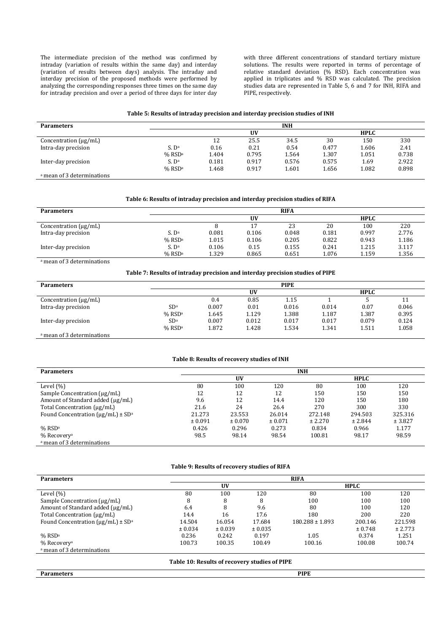The intermediate precision of the method was confirmed by intraday (variation of results within the same day) and interday (variation of results between days) analysis. The intraday and interday precision of the proposed methods were performed by analyzing the corresponding responses three times on the same day for intraday precision and over a period of three days for inter day

with three different concentrations of standard tertiary mixture solutions. The results were reported in terms of percentage of relative standard deviation (% RSD). Each concentration was applied in triplicates and % RSD was calculated. The precision studies data are represented in Table 5, 6 and 7 for INH, RIFA and PIPE, respectively.

# **Table 5: Results of intraday precision and interday precision studies of INH**

| <b>Parameters</b>                     | <b>INH</b>           |       |       |       |       |             |       |  |  |
|---------------------------------------|----------------------|-------|-------|-------|-------|-------------|-------|--|--|
|                                       |                      |       | UV    |       |       | <b>HPLC</b> |       |  |  |
| Concentration $(\mu g/mL)$            |                      | 12    | 25.5  | 34.5  | 30    | 150         | 330   |  |  |
| Intra-day precision                   | S. D <sup>a</sup>    | 0.16  | 0.21  | 0.54  | 0.477 | 1.606       | 2.41  |  |  |
|                                       | $%$ RSDa             | 1.404 | 0.795 | 1.564 | 1.307 | 1.051       | 0.738 |  |  |
| Inter-day precision                   | S. D <sup>a</sup>    | 0.181 | 0.917 | 0.576 | 0.575 | 1.69        | 2.922 |  |  |
|                                       | $%$ RSD <sup>a</sup> | 1.468 | 0.917 | 1.601 | 1.656 | 1.082       | 0.898 |  |  |
| <sup>a</sup> mean of 3 determinations |                      |       |       |       |       |             |       |  |  |

# **Table 6: Results of intraday precision and interday precision studies of RIFA**

| <b>Parameters</b>          | <b>RIFA</b>       |       |       |       |       |             |       |  |  |
|----------------------------|-------------------|-------|-------|-------|-------|-------------|-------|--|--|
|                            |                   |       | UV    |       |       | <b>HPLC</b> |       |  |  |
| Concentration $(\mu g/mL)$ |                   |       |       | 23    | 20    | 100         | 220   |  |  |
| Intra-day precision        | S. D <sup>a</sup> | 0.081 | 0.106 | 0.048 | 0.181 | 0.997       | 2.776 |  |  |
|                            | $%$ RSDa          | 1.015 | 0.106 | 0.205 | 0.822 | 0.943       | 1.186 |  |  |
| Inter-day precision        | S. D <sup>a</sup> | 0.106 | 0.15  | 0.155 | 0.241 | 1.215       | 3.117 |  |  |
|                            | $%$ RSDa          | 1.329 | 0.865 | 0.651 | 1.076 | 1.159       | 1.356 |  |  |

#### a mean of 3 determinations

**Table 7: Results of intraday precision and interday precision studies of PIPE**

| <b>Parameters</b>                     | <b>PIPE</b>          |       |       |       |       |             |       |  |
|---------------------------------------|----------------------|-------|-------|-------|-------|-------------|-------|--|
|                                       |                      |       | UV    |       |       | <b>HPLC</b> |       |  |
| Concentration $(\mu g/mL)$            |                      | 0.4   | 0.85  | 1.15  |       |             |       |  |
| Intra-day precision                   | SD <sup>a</sup>      | 0.007 | 0.01  | 0.016 | 0.014 | 0.07        | 0.046 |  |
|                                       | $%$ RSD <sup>a</sup> | 1.645 | 1.129 | 1.388 | 1.187 | 1.387       | 0.395 |  |
| Inter-day precision                   | SD <sup>a</sup>      | 0.007 | 0.012 | 0.017 | 0.017 | 0.079       | 0.124 |  |
|                                       | $%$ RSD <sup>a</sup> | 1.872 | 1.428 | 1.534 | 1.341 | 1.511       | 1.058 |  |
| <sup>a</sup> mean of 3 determinations |                      |       |       |       |       |             |       |  |

# **Table 8: Results of recovery studies of INH**

| <b>Parameters</b>                         | <b>INH</b> |         |         |         |             |         |  |  |  |
|-------------------------------------------|------------|---------|---------|---------|-------------|---------|--|--|--|
|                                           |            | UV      |         |         | <b>HPLC</b> |         |  |  |  |
| Level $(\% )$                             | 80         | 100     | 120     | 80      | 100         | 120     |  |  |  |
| Sample Concentration $(\mu g/mL)$         | 12         | 12      | 12      | 150     | 150         | 150     |  |  |  |
| Amount of Standard added (µg/mL)          | 9.6        | 12      | 14.4    | 120     | 150         | 180     |  |  |  |
| Total Concentration (µg/mL)               | 21.6       | 24      | 26.4    | 270     | 300         | 330     |  |  |  |
| Found Concentration $(\mu g/mL) \pm SD^a$ | 21.273     | 23.553  | 26.014  | 272.148 | 294.503     | 325.316 |  |  |  |
|                                           | ± 0.091    | ± 0.070 | ± 0.071 | ± 2.270 | ± 2.844     | ± 3.827 |  |  |  |
| % RSD <sup>a</sup>                        | 0.426      | 0.296   | 0.273   | 0.834   | 0.966       | 1.177   |  |  |  |
| % Recovery <sup>a</sup>                   | 98.5       | 98.14   | 98.54   | 100.81  | 98.17       | 98.59   |  |  |  |
| <sup>a</sup> mean of 3 determinations     |            |         |         |         |             |         |  |  |  |

#### **Table 9: Results of recovery studies of RIFA**

| <b>Parameters</b>                         | <b>RIFA</b> |           |         |                     |             |         |  |  |
|-------------------------------------------|-------------|-----------|---------|---------------------|-------------|---------|--|--|
|                                           |             | <b>UV</b> |         |                     | <b>HPLC</b> |         |  |  |
| Level $(\% )$                             | 80          | 100       | 120     | 80                  | 100         | 120     |  |  |
| Sample Concentration (µg/mL)              | 8           | 8         | 8       | 100                 | 100         | 100     |  |  |
| Amount of Standard added (µg/mL)          | 6.4         | 8         | 9.6     | 80                  | 100         | 120     |  |  |
| Total Concentration (µg/mL)               | 14.4        | 16        | 17.6    | 180                 | 200         | 220     |  |  |
| Found Concentration $(\mu g/mL) \pm SD^a$ | 14.504      | 16.054    | 17.684  | $180.288 \pm 1.893$ | 200.146     | 221.598 |  |  |
|                                           | ± 0.034     | ± 0.039   | ± 0.035 |                     | ± 0.748     | ± 2.773 |  |  |
| $%$ RSD <sup>a</sup>                      | 0.236       | 0.242     | 0.197   | 1.05                | 0.374       | 1.251   |  |  |
| % Recovery <sup>a</sup>                   | 100.73      | 100.35    | 100.49  | 100.16              | 100.08      | 100.74  |  |  |
| <sup>a</sup> mean of 3 determinations     |             |           |         |                     |             |         |  |  |
|                                           | --------    |           | .       | ------              |             |         |  |  |

**Table 10: Results of recovery studies of PIPE**

**Parameters PIPE**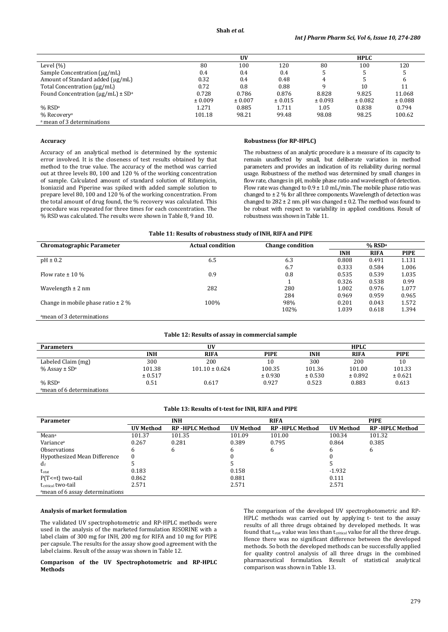|                                                     |         | UV      |         |         | <b>HPLC</b> |         |
|-----------------------------------------------------|---------|---------|---------|---------|-------------|---------|
| Level $(\% )$                                       | 80      | 100     | 120     | 80      | 100         | 120     |
| Sample Concentration $(\mu g/mL)$                   | 0.4     | 0.4     | 0.4     | .5      |             |         |
| Amount of Standard added (ug/mL)                    | 0.32    | 0.4     | 0.48    | 4       |             |         |
| Total Concentration (µg/mL)                         | 0.72    | 0.8     | 0.88    |         | 10          |         |
| Found Concentration ( $\mu$ g/mL) ± SD <sup>a</sup> | 0.728   | 0.786   | 0.876   | 8.828   | 9.825       | 11.068  |
|                                                     | ± 0.009 | ± 0.007 | ± 0.015 | ± 0.093 | ± 0.082     | ± 0.088 |
| $%$ RSD <sup>a</sup>                                | 1.271   | 0.885   | 1.711   | 1.05    | 0.838       | 0.794   |
| % Recoveryª                                         | 101.18  | 98.21   | 99.48   | 98.08   | 98.25       | 100.62  |
| <sup>a</sup> mean of 3 determinations               |         |         |         |         |             |         |

#### **Accuracy**

Accuracy of an analytical method is determined by the systemic error involved. It is the closeness of test results obtained by that method to the true value. The accuracy of the method was carried out at three levels 80, 100 and 120 % of the working concentration of sample. Calculated amount of standard solution of Rifampicin, Isoniazid and Piperine was spiked with added sample solution to prepare level 80, 100 and 120 % of the working concentration. From the total amount of drug found, the % recovery was calculated. This procedure was repeated for three times for each concentration. The % RSD was calculated. The results were shown in Table 8, 9 and 10.

#### **Robustness (for RP-HPLC)**

The robustness of an analytic procedure is a measure of its capacity to remain unaffected by small, but deliberate variation in method parameters and provides an indication of its reliability during normal usage. Robustness of the method was determined by small changes in flow rate, changes in pH, mobile phase ratio and wavelength of detection. Flow rate was changed to  $0.9 \pm 1.0$  mL/min. The mobile phase ratio was changed to ± 2 % for all three components. Wavelength of detection was changed to  $282 \pm 2$  nm. pH was changed  $\pm$  0.2. The method was found to be robust with respect to variability in applied conditions. Result of robustness was shown in Table 11.

# **Table 11: Results of robustness study of INH, RIFA and PIPE**

| <b>Chromatographic Parameter</b>       | <b>Actual condition</b> | <b>Change condition</b> | $%$ RSD <sup>a</sup> |             |             |
|----------------------------------------|-------------------------|-------------------------|----------------------|-------------|-------------|
|                                        |                         |                         | <b>INH</b>           | <b>RIFA</b> | <b>PIPE</b> |
| $pH \pm 0.2$                           | 6.5                     | 6.3                     | 0.808                | 0.491       | 1.131       |
|                                        |                         | 6.7                     | 0.333                | 0.584       | 1.006       |
| Flow rate $\pm$ 10 %                   | 0.9                     | 0.8                     | 0.535                | 0.539       | 1.035       |
|                                        |                         |                         | 0.326                | 0.538       | 0.99        |
| Wavelength $\pm$ 2 nm                  | 282                     | 280                     | 1.002                | 0.976       | 1.077       |
|                                        |                         | 284                     | 0.969                | 0.959       | 0.965       |
| Change in mobile phase ratio $\pm$ 2 % | 100%                    | 98%                     | 0.201                | 0.043       | 1.572       |
|                                        |                         | 102%                    | 1.039                | 0.618       | 1.394       |
| amean of 3 determinations              |                         |                         |                      |             |             |

#### **Table 12: Results of assay in commercial sample**

| <b>Parameters</b>                |            | UV                 |             |            | <b>HPLC</b> |             |
|----------------------------------|------------|--------------------|-------------|------------|-------------|-------------|
|                                  | <b>INH</b> | <b>RIFA</b>        | <b>PIPE</b> | <b>INH</b> | <b>RIFA</b> | <b>PIPE</b> |
| Labeled Claim (mg)               | 300        | 200                | 10          | 300        | 200         | 10          |
| $\%$ Assay $\pm$ SD <sup>a</sup> | 101.38     | $101.10 \pm 0.624$ | 100.35      | 101.36     | 101.00      | 101.33      |
|                                  | ± 0.517    |                    | ± 0.930     | ± 0.530    | ± 0.892     | ± 0.621     |
| $%$ RSD <sup>a</sup>             | 0.51       | 0.617              | 0.927       | 0.523      | 0.883       | 0.613       |
| amean of 6 determinations        |            |                    |             |            |             |             |

#### **Table 13: Results of t-test for INH, RIFA and PIPE**

| Parameter                       | <b>INH</b><br><b>RIFA</b> |                       | <b>PIPE</b> |                       |                  |                        |
|---------------------------------|---------------------------|-----------------------|-------------|-----------------------|------------------|------------------------|
|                                 | <b>UV Method</b>          | <b>RP-HPLC Method</b> | UV Method   | <b>RP-HPLC Method</b> | <b>UV Method</b> | <b>RP -HPLC Method</b> |
| Mean <sup>a</sup>               | 101.37                    | 101.35                | 101.09      | 101.00                | 100.34           | 101.32                 |
| Variance <sup>a</sup>           | 0.267                     | 0.281                 | 0.389       | 0.795                 | 0.864            | 0.385                  |
| <b>Observations</b>             |                           | 6                     | h           | 6                     | 6                | b                      |
| Hypothesized Mean Difference    | -0                        |                       |             |                       |                  |                        |
| $d_{\rm f}$                     |                           |                       |             |                       |                  |                        |
| $t_{stat}$                      | 0.183                     |                       | 0.158       |                       | -1.932           |                        |
| $P(T \le t)$ two-tail           | 0.862                     |                       | 0.881       |                       | 0.111            |                        |
| t <sub>critical</sub> two-tail  | 2.571                     |                       | 2.571       |                       | 2.571            |                        |
| amean of 6 assay determinations |                           |                       |             |                       |                  |                        |

#### **Analysis of market formulation**

The validated UV spectrophotometric and RP-HPLC methods were used in the analysis of the marketed formulation RISORINE with a label claim of 300 mg for INH, 200 mg for RIFA and 10 mg for PIPE per capsule. The results for the assay show good agreement with the label claims. Result of the assay was shown in Table 12.

**Comparison of the UV Spectrophotometric and RP-HPLC Methods**

The comparison of the developed UV spectrophotometric and RP-HPLC methods was carried out by applying t- test to the assay results of all three drugs obtained by developed methods. It was found that tstat value was less than tcritical value for all the three drugs. Hence there was no significant difference between the developed methods. So both the developed methods can be successfully applied for quality control analysis of all three drugs in the combined pharmaceutical formulation. Result of statistical analytical comparison was shown in Table 13.